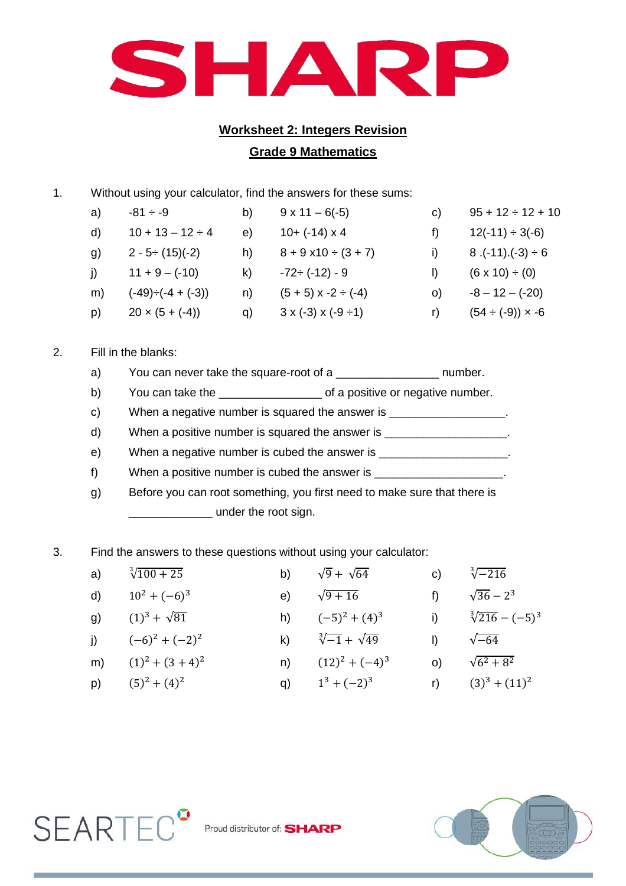

## **Worksheet 2: Integers Revision Grade 9 Mathematics**

1. Without using your calculator, find the answers for these sums:

| a)           | $-81 \div -9$            | b) | $9 \times 11 - 6(-5)$              | C) | $95 + 12 \div 12 + 10$     |
|--------------|--------------------------|----|------------------------------------|----|----------------------------|
| $\mathsf{d}$ | $10 + 13 - 12 \div 4$    | e) | $10 + (-14) \times 4$              |    | $12(-11) \div 3(-6)$       |
| g)           | $2 - 5 \div (15)(-2)$    | h) | $8 + 9 \times 10 \div (3 + 7)$     |    | $8.(-11).(-3) \div 6$      |
| <sup>i</sup> | $11 + 9 - (-10)$         | k) | $-72 \div (-12) - 9$               |    | $(6 \times 10) \div (0)$   |
| m)           | $(-49) \div (-4 + (-3))$ | n) | $(5 + 5)$ x -2 ÷ (-4)              | O) | $-8 - 12 - (-20)$          |
| p)           | $20 \times (5 + (-4))$   | q) | $3 \times (-3) \times (-9 \div 1)$ |    | $(54 \div (-9)) \times -6$ |

## 2. Fill in the blanks:

- a) You can never take the square-root of a \_\_\_\_\_\_\_\_\_\_\_\_\_\_\_\_\_\_\_\_\_\_ number.
- b) You can take the **value is a set of a positive or negative number**.
- c) When a negative number is squared the answer is \_\_\_\_\_\_\_\_\_\_\_\_\_\_\_\_\_\_\_\_\_\_\_\_\_\_\_\_\_
- d) When a positive number is squared the answer is
- e) When a negative number is cubed the answer is \_\_\_\_\_\_\_\_\_\_\_\_\_\_\_\_\_\_\_\_\_.
- f) When a positive number is cubed the answer is \_\_\_\_\_\_\_\_\_\_\_\_\_\_\_\_\_\_\_\_\_\_\_\_\_\_\_\_\_\_\_
- g) Before you can root something, you first need to make sure that there is **\_\_\_\_\_\_\_\_\_** under the root sign.
- 3. Find the answers to these questions without using your calculator:

| a) $\sqrt[3]{100 + 25}$ | b) $\sqrt{9} + \sqrt{64}$     | c) $\sqrt[3]{-216}$         |
|-------------------------|-------------------------------|-----------------------------|
| d) $10^2 + (-6)^3$      | e) $\sqrt{9+16}$              | f) $\sqrt{36} - 2^3$        |
| g) $(1)^3 + \sqrt{81}$  | h) $(-5)^2 + (4)^3$           | i) $\sqrt[3]{216} - (-5)^3$ |
| i) $(-6)^2 + (-2)^2$    | k) $\sqrt[3]{-1} + \sqrt{49}$ | $\sqrt{-64}$                |
| m) $(1)^2 + (3+4)^2$    | n) $(12)^2 + (-4)^3$          | (c) $\sqrt{6^2 + 8^2}$      |

p)  $(5)^2 + (4)$ <sup>2</sup> q)  $1^3 + (-2)^3$  r)  $(3)^3 + (11)^2$ 



 $SEARTEC<sup>3</sup>$  Proud distributor of: SHARP